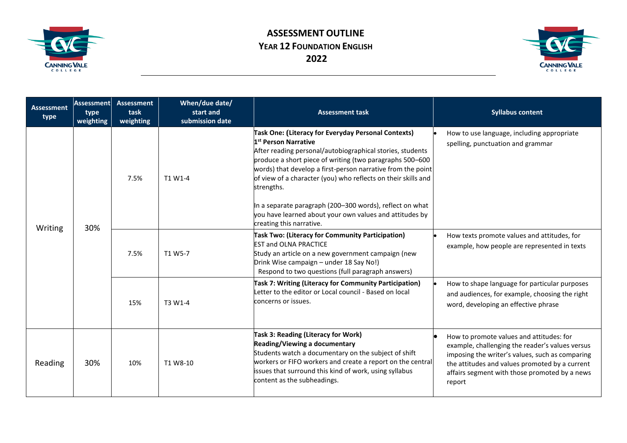



| <b>Assessment</b><br>type | <b>Assessment</b><br>type<br>weighting | <b>Assessment</b><br>task<br>weighting | When/due date/<br>start and<br>submission date | <b>Assessment task</b>                                                                                                                                                                                                                                                                                                                                                                                                                                                                                            | <b>Syllabus content</b>                                                                                                                                                                                                                                     |
|---------------------------|----------------------------------------|----------------------------------------|------------------------------------------------|-------------------------------------------------------------------------------------------------------------------------------------------------------------------------------------------------------------------------------------------------------------------------------------------------------------------------------------------------------------------------------------------------------------------------------------------------------------------------------------------------------------------|-------------------------------------------------------------------------------------------------------------------------------------------------------------------------------------------------------------------------------------------------------------|
| Writing                   | 30%                                    | 7.5%                                   | T1 W1-4                                        | Task One: (Literacy for Everyday Personal Contexts)<br>1 <sup>st</sup> Person Narrative<br>After reading personal/autobiographical stories, students<br>produce a short piece of writing (two paragraphs 500-600<br>words) that develop a first-person narrative from the point<br>of view of a character (you) who reflects on their skills and<br>strengths.<br>In a separate paragraph (200–300 words), reflect on what<br>you have learned about your own values and attitudes by<br>creating this narrative. | How to use language, including appropriate<br>spelling, punctuation and grammar                                                                                                                                                                             |
|                           |                                        | 7.5%                                   | T1 W5-7                                        | Task Two: (Literacy for Community Participation)<br><b>EST and OLNA PRACTICE</b><br>Study an article on a new government campaign (new<br>Drink Wise campaign - under 18 Say No!)<br>Respond to two questions (full paragraph answers)                                                                                                                                                                                                                                                                            | How texts promote values and attitudes, for<br>example, how people are represented in texts                                                                                                                                                                 |
|                           |                                        | 15%                                    | T3 W1-4                                        | Task 7: Writing (Literacy for Community Participation)<br>Letter to the editor or Local council - Based on local<br>concerns or issues.                                                                                                                                                                                                                                                                                                                                                                           | How to shape language for particular purposes<br>and audiences, for example, choosing the right<br>word, developing an effective phrase                                                                                                                     |
| Reading                   | 30%                                    | 10%                                    | T1 W8-10                                       | Task 3: Reading (Literacy for Work)<br>Reading/Viewing a documentary<br>Students watch a documentary on the subject of shift<br>workers or FIFO workers and create a report on the central<br>issues that surround this kind of work, using syllabus<br>content as the subheadings.                                                                                                                                                                                                                               | How to promote values and attitudes: for<br>example, challenging the reader's values versus<br>imposing the writer's values, such as comparing<br>the attitudes and values promoted by a current<br>affairs segment with those promoted by a news<br>report |